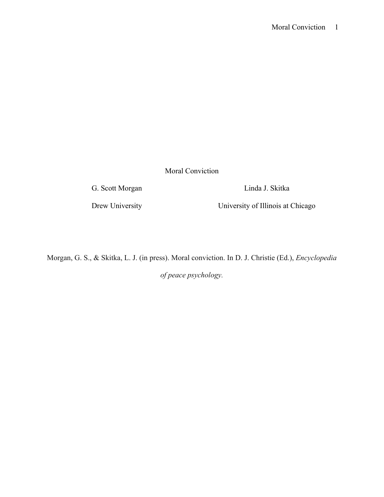Moral Conviction

G. Scott Morgan Linda J. Skitka

Drew University University University of Illinois at Chicago

Morgan, G. S., & Skitka, L. J. (in press). Moral conviction. In D. J. Christie (Ed.), *Encyclopedia* 

*of peace psychology.*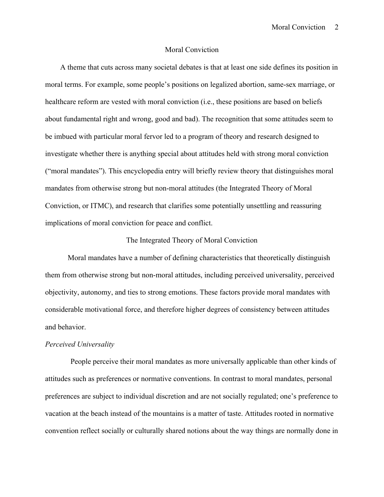## Moral Conviction

 A theme that cuts across many societal debates is that at least one side defines its position in moral terms. For example, some people's positions on legalized abortion, same-sex marriage, or healthcare reform are vested with moral conviction (i.e., these positions are based on beliefs about fundamental right and wrong, good and bad). The recognition that some attitudes seem to be imbued with particular moral fervor led to a program of theory and research designed to investigate whether there is anything special about attitudes held with strong moral conviction ("moral mandates"). This encyclopedia entry will briefly review theory that distinguishes moral mandates from otherwise strong but non-moral attitudes (the Integrated Theory of Moral Conviction, or ITMC), and research that clarifies some potentially unsettling and reassuring implications of moral conviction for peace and conflict.

# The Integrated Theory of Moral Conviction

Moral mandates have a number of defining characteristics that theoretically distinguish them from otherwise strong but non-moral attitudes, including perceived universality, perceived objectivity, autonomy, and ties to strong emotions. These factors provide moral mandates with considerable motivational force, and therefore higher degrees of consistency between attitudes and behavior.

## *Perceived Universality*

People perceive their moral mandates as more universally applicable than other kinds of attitudes such as preferences or normative conventions. In contrast to moral mandates, personal preferences are subject to individual discretion and are not socially regulated; one's preference to vacation at the beach instead of the mountains is a matter of taste. Attitudes rooted in normative convention reflect socially or culturally shared notions about the way things are normally done in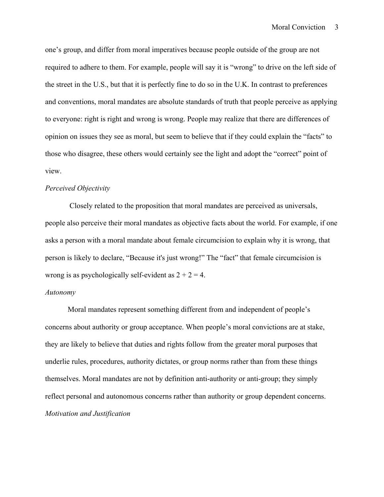one's group, and differ from moral imperatives because people outside of the group are not required to adhere to them. For example, people will say it is "wrong" to drive on the left side of the street in the U.S., but that it is perfectly fine to do so in the U.K. In contrast to preferences and conventions, moral mandates are absolute standards of truth that people perceive as applying to everyone: right is right and wrong is wrong. People may realize that there are differences of opinion on issues they see as moral, but seem to believe that if they could explain the "facts" to those who disagree, these others would certainly see the light and adopt the "correct" point of view.

# *Perceived Objectivity*

Closely related to the proposition that moral mandates are perceived as universals, people also perceive their moral mandates as objective facts about the world. For example, if one asks a person with a moral mandate about female circumcision to explain why it is wrong, that person is likely to declare, "Because it's just wrong!" The "fact" that female circumcision is wrong is as psychologically self-evident as  $2 + 2 = 4$ .

# *Autonomy*

Moral mandates represent something different from and independent of people's concerns about authority or group acceptance. When people's moral convictions are at stake, they are likely to believe that duties and rights follow from the greater moral purposes that underlie rules, procedures, authority dictates, or group norms rather than from these things themselves. Moral mandates are not by definition anti-authority or anti-group; they simply reflect personal and autonomous concerns rather than authority or group dependent concerns. *Motivation and Justification*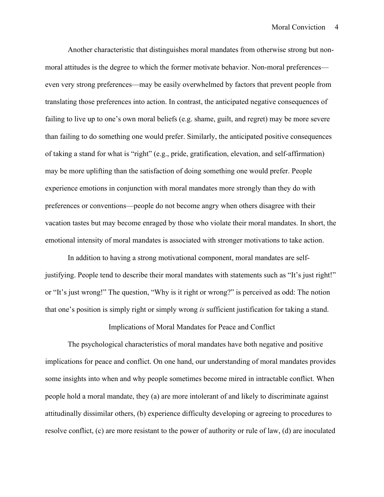Another characteristic that distinguishes moral mandates from otherwise strong but nonmoral attitudes is the degree to which the former motivate behavior. Non-moral preferences even very strong preferences—may be easily overwhelmed by factors that prevent people from translating those preferences into action. In contrast, the anticipated negative consequences of failing to live up to one's own moral beliefs (e.g. shame, guilt, and regret) may be more severe than failing to do something one would prefer. Similarly, the anticipated positive consequences of taking a stand for what is "right" (e.g., pride, gratification, elevation, and self-affirmation) may be more uplifting than the satisfaction of doing something one would prefer. People experience emotions in conjunction with moral mandates more strongly than they do with preferences or conventions—people do not become angry when others disagree with their vacation tastes but may become enraged by those who violate their moral mandates. In short, the emotional intensity of moral mandates is associated with stronger motivations to take action.

In addition to having a strong motivational component, moral mandates are selfjustifying. People tend to describe their moral mandates with statements such as "It's just right!" or "It's just wrong!" The question, "Why is it right or wrong?" is perceived as odd: The notion that one's position is simply right or simply wrong *is* sufficient justification for taking a stand.

## Implications of Moral Mandates for Peace and Conflict

The psychological characteristics of moral mandates have both negative and positive implications for peace and conflict. On one hand, our understanding of moral mandates provides some insights into when and why people sometimes become mired in intractable conflict. When people hold a moral mandate, they (a) are more intolerant of and likely to discriminate against attitudinally dissimilar others, (b) experience difficulty developing or agreeing to procedures to resolve conflict, (c) are more resistant to the power of authority or rule of law, (d) are inoculated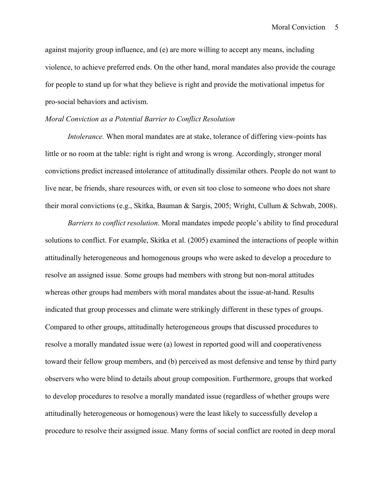against majority group influence, and (e) are more willing to accept any means, including violence, to achieve preferred ends. On the other hand, moral mandates also provide the courage for people to stand up for what they believe is right and provide the motivational impetus for pro-social behaviors and activism.

### *Moral Conviction as a Potential Barrier to Conflict Resolution*

*Intolerance*. When moral mandates are at stake, tolerance of differing view-points has little or no room at the table: right is right and wrong is wrong. Accordingly, stronger moral convictions predict increased intolerance of attitudinally dissimilar others. People do not want to live near, be friends, share resources with, or even sit too close to someone who does not share their moral convictions (e.g., Skitka, Bauman & Sargis, 2005; Wright, Cullum & Schwab, 2008).

*Barriers to conflict resolution*. Moral mandates impede people's ability to find procedural solutions to conflict. For example, Skitka et al. (2005) examined the interactions of people within attitudinally heterogeneous and homogenous groups who were asked to develop a procedure to resolve an assigned issue. Some groups had members with strong but non-moral attitudes whereas other groups had members with moral mandates about the issue-at-hand. Results indicated that group processes and climate were strikingly different in these types of groups. Compared to other groups, attitudinally heterogeneous groups that discussed procedures to resolve a morally mandated issue were (a) lowest in reported good will and cooperativeness toward their fellow group members, and (b) perceived as most defensive and tense by third party observers who were blind to details about group composition. Furthermore, groups that worked to develop procedures to resolve a morally mandated issue (regardless of whether groups were attitudinally heterogeneous or homogenous) were the least likely to successfully develop a procedure to resolve their assigned issue. Many forms of social conflict are rooted in deep moral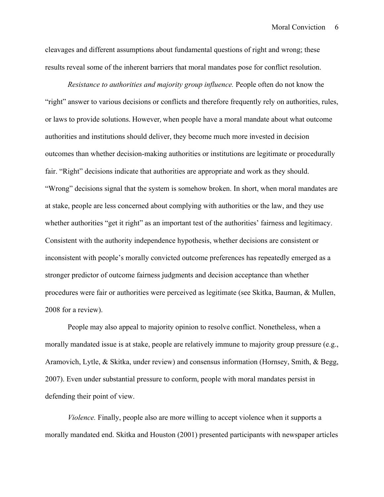cleavages and different assumptions about fundamental questions of right and wrong; these results reveal some of the inherent barriers that moral mandates pose for conflict resolution.

*Resistance to authorities and majority group influence.* People often do not know the "right" answer to various decisions or conflicts and therefore frequently rely on authorities, rules, or laws to provide solutions. However, when people have a moral mandate about what outcome authorities and institutions should deliver, they become much more invested in decision outcomes than whether decision-making authorities or institutions are legitimate or procedurally fair. "Right" decisions indicate that authorities are appropriate and work as they should. "Wrong" decisions signal that the system is somehow broken. In short, when moral mandates are at stake, people are less concerned about complying with authorities or the law, and they use whether authorities "get it right" as an important test of the authorities' fairness and legitimacy. Consistent with the authority independence hypothesis, whether decisions are consistent or inconsistent with people's morally convicted outcome preferences has repeatedly emerged as a stronger predictor of outcome fairness judgments and decision acceptance than whether procedures were fair or authorities were perceived as legitimate (see Skitka, Bauman, & Mullen, 2008 for a review).

People may also appeal to majority opinion to resolve conflict. Nonetheless, when a morally mandated issue is at stake, people are relatively immune to majority group pressure (e.g., Aramovich, Lytle, & Skitka, under review) and consensus information (Hornsey, Smith, & Begg, 2007). Even under substantial pressure to conform, people with moral mandates persist in defending their point of view.

*Violence.* Finally, people also are more willing to accept violence when it supports a morally mandated end. Skitka and Houston (2001) presented participants with newspaper articles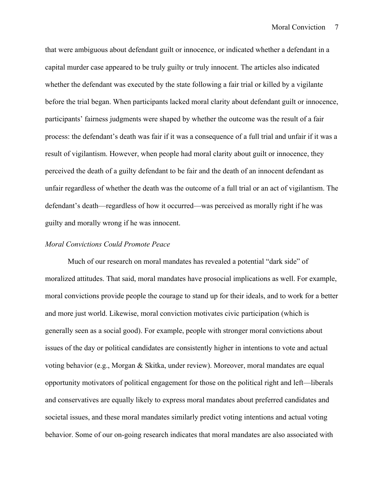that were ambiguous about defendant guilt or innocence, or indicated whether a defendant in a capital murder case appeared to be truly guilty or truly innocent. The articles also indicated whether the defendant was executed by the state following a fair trial or killed by a vigilante before the trial began. When participants lacked moral clarity about defendant guilt or innocence, participants' fairness judgments were shaped by whether the outcome was the result of a fair process: the defendant's death was fair if it was a consequence of a full trial and unfair if it was a result of vigilantism. However, when people had moral clarity about guilt or innocence, they perceived the death of a guilty defendant to be fair and the death of an innocent defendant as unfair regardless of whether the death was the outcome of a full trial or an act of vigilantism. The defendant's death—regardless of how it occurred—was perceived as morally right if he was guilty and morally wrong if he was innocent.

#### *Moral Convictions Could Promote Peace*

Much of our research on moral mandates has revealed a potential "dark side" of moralized attitudes. That said, moral mandates have prosocial implications as well. For example, moral convictions provide people the courage to stand up for their ideals, and to work for a better and more just world. Likewise, moral conviction motivates civic participation (which is generally seen as a social good). For example, people with stronger moral convictions about issues of the day or political candidates are consistently higher in intentions to vote and actual voting behavior (e.g., Morgan & Skitka, under review). Moreover, moral mandates are equal opportunity motivators of political engagement for those on the political right and left—liberals and conservatives are equally likely to express moral mandates about preferred candidates and societal issues, and these moral mandates similarly predict voting intentions and actual voting behavior. Some of our on-going research indicates that moral mandates are also associated with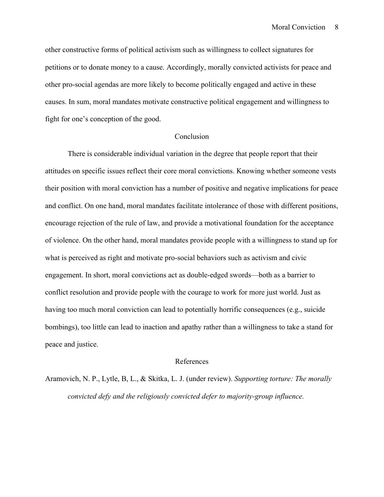other constructive forms of political activism such as willingness to collect signatures for petitions or to donate money to a cause. Accordingly, morally convicted activists for peace and other pro-social agendas are more likely to become politically engaged and active in these causes. In sum, moral mandates motivate constructive political engagement and willingness to fight for one's conception of the good.

# Conclusion

There is considerable individual variation in the degree that people report that their attitudes on specific issues reflect their core moral convictions. Knowing whether someone vests their position with moral conviction has a number of positive and negative implications for peace and conflict. On one hand, moral mandates facilitate intolerance of those with different positions, encourage rejection of the rule of law, and provide a motivational foundation for the acceptance of violence. On the other hand, moral mandates provide people with a willingness to stand up for what is perceived as right and motivate pro-social behaviors such as activism and civic engagement. In short, moral convictions act as double-edged swords—both as a barrier to conflict resolution and provide people with the courage to work for more just world. Just as having too much moral conviction can lead to potentially horrific consequences (e.g., suicide bombings), too little can lead to inaction and apathy rather than a willingness to take a stand for peace and justice.

#### References

Aramovich, N. P., Lytle, B, L., & Skitka, L. J. (under review). *Supporting torture: The morally convicted defy and the religiously convicted defer to majority-group influence.*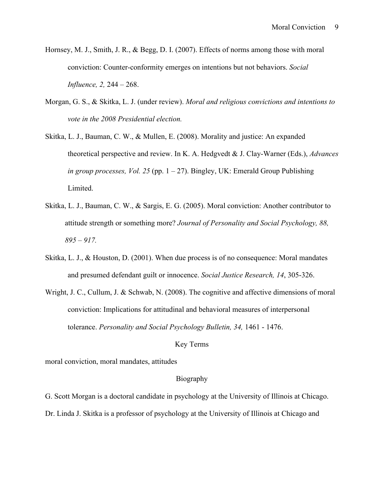- Hornsey, M. J., Smith, J. R., & Begg, D. I. (2007). Effects of norms among those with moral conviction: Counter-conformity emerges on intentions but not behaviors. *Social Influence, 2,* 244 – 268.
- Morgan, G. S., & Skitka, L. J. (under review). *Moral and religious convictions and intentions to vote in the 2008 Presidential election.*
- Skitka, L. J., Bauman, C. W., & Mullen, E. (2008). Morality and justice: An expanded theoretical perspective and review. In K. A. Hedgvedt & J. Clay-Warner (Eds.), *Advances in group processes, Vol. 25* (pp. 1 – 27). Bingley, UK: Emerald Group Publishing Limited.
- Skitka, L. J., Bauman, C. W., & Sargis, E. G. (2005). Moral conviction: Another contributor to attitude strength or something more? *Journal of Personality and Social Psychology, 88, 895 – 917.*
- Skitka, L. J., & Houston, D. (2001). When due process is of no consequence: Moral mandates and presumed defendant guilt or innocence. *Social Justice Research, 14*, 305-326.
- Wright, J. C., Cullum, J. & Schwab, N. (2008). The cognitive and affective dimensions of moral conviction: Implications for attitudinal and behavioral measures of interpersonal tolerance. *Personality and Social Psychology Bulletin, 34,* 1461 - 1476.

## Key Terms

moral conviction, moral mandates, attitudes

# Biography

G. Scott Morgan is a doctoral candidate in psychology at the University of Illinois at Chicago. Dr. Linda J. Skitka is a professor of psychology at the University of Illinois at Chicago and